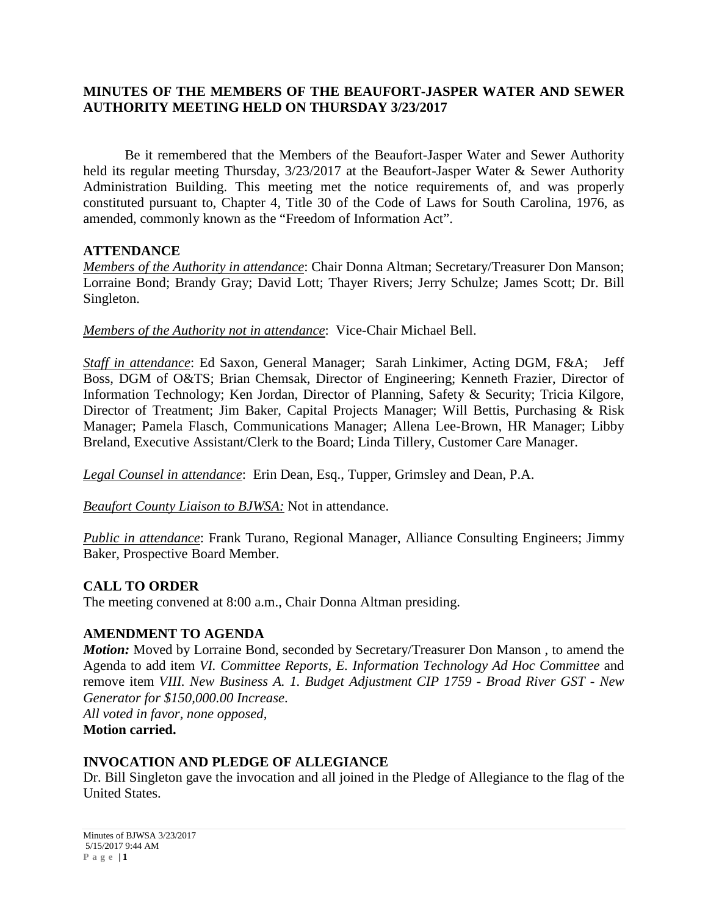## **MINUTES OF THE MEMBERS OF THE BEAUFORT-JASPER WATER AND SEWER AUTHORITY MEETING HELD ON THURSDAY 3/23/2017**

Be it remembered that the Members of the Beaufort-Jasper Water and Sewer Authority held its regular meeting Thursday,  $3/23/2017$  at the Beaufort-Jasper Water & Sewer Authority Administration Building. This meeting met the notice requirements of, and was properly constituted pursuant to, Chapter 4, Title 30 of the Code of Laws for South Carolina, 1976, as amended, commonly known as the "Freedom of Information Act".

#### **ATTENDANCE**

*Members of the Authority in attendance*: Chair Donna Altman; Secretary/Treasurer Don Manson; Lorraine Bond; Brandy Gray; David Lott; Thayer Rivers; Jerry Schulze; James Scott; Dr. Bill Singleton.

*Members of the Authority not in attendance*: Vice-Chair Michael Bell.

*Staff in attendance*: Ed Saxon, General Manager; Sarah Linkimer, Acting DGM, F&A; Jeff Boss, DGM of O&TS; Brian Chemsak, Director of Engineering; Kenneth Frazier, Director of Information Technology; Ken Jordan, Director of Planning, Safety & Security; Tricia Kilgore, Director of Treatment; Jim Baker, Capital Projects Manager; Will Bettis, Purchasing & Risk Manager; Pamela Flasch, Communications Manager; Allena Lee-Brown, HR Manager; Libby Breland, Executive Assistant/Clerk to the Board; Linda Tillery, Customer Care Manager.

*Legal Counsel in attendance*: Erin Dean, Esq., Tupper, Grimsley and Dean, P.A.

*Beaufort County Liaison to BJWSA:* Not in attendance.

*Public in attendance*: Frank Turano, Regional Manager, Alliance Consulting Engineers; Jimmy Baker, Prospective Board Member.

## **CALL TO ORDER**

The meeting convened at 8:00 a.m., Chair Donna Altman presiding.

## **AMENDMENT TO AGENDA**

*Motion:* Moved by Lorraine Bond, seconded by Secretary/Treasurer Don Manson , to amend the Agenda to add item *VI. Committee Reports, E. Information Technology Ad Hoc Committee* and remove item *VIII. New Business A. 1. Budget Adjustment CIP 1759 - Broad River GST - New Generator for \$150,000.00 Increase*. *All voted in favor, none opposed,* 

**Motion carried.**

#### **INVOCATION AND PLEDGE OF ALLEGIANCE**

Dr. Bill Singleton gave the invocation and all joined in the Pledge of Allegiance to the flag of the United States.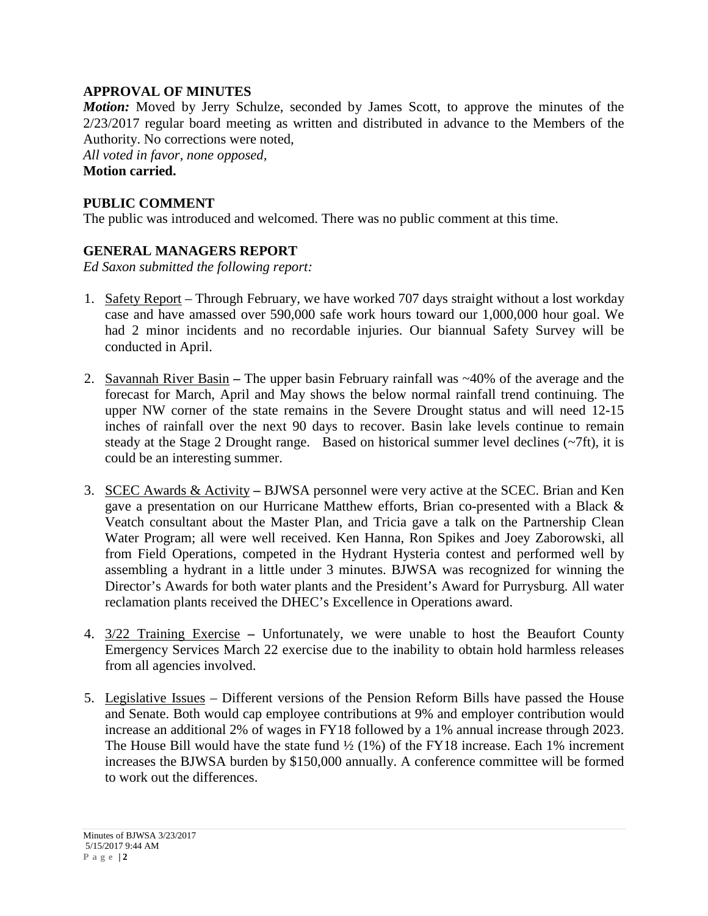## **APPROVAL OF MINUTES**

*Motion:* Moved by Jerry Schulze, seconded by James Scott, to approve the minutes of the 2/23/2017 regular board meeting as written and distributed in advance to the Members of the Authority. No corrections were noted,

*All voted in favor, none opposed,*  **Motion carried.**

#### **PUBLIC COMMENT**

The public was introduced and welcomed. There was no public comment at this time.

## **GENERAL MANAGERS REPORT**

*Ed Saxon submitted the following report:*

- 1. Safety Report Through February, we have worked 707 days straight without a lost workday case and have amassed over 590,000 safe work hours toward our 1,000,000 hour goal. We had 2 minor incidents and no recordable injuries. Our biannual Safety Survey will be conducted in April.
- 2. Savannah River Basin **–** The upper basin February rainfall was ~40% of the average and the forecast for March, April and May shows the below normal rainfall trend continuing. The upper NW corner of the state remains in the Severe Drought status and will need 12-15 inches of rainfall over the next 90 days to recover. Basin lake levels continue to remain steady at the Stage 2 Drought range. Based on historical summer level declines  $(\sim 7 \text{ft})$ , it is could be an interesting summer.
- 3. SCEC Awards & Activity **–** BJWSA personnel were very active at the SCEC. Brian and Ken gave a presentation on our Hurricane Matthew efforts, Brian co-presented with a Black & Veatch consultant about the Master Plan, and Tricia gave a talk on the Partnership Clean Water Program; all were well received. Ken Hanna, Ron Spikes and Joey Zaborowski, all from Field Operations, competed in the Hydrant Hysteria contest and performed well by assembling a hydrant in a little under 3 minutes. BJWSA was recognized for winning the Director's Awards for both water plants and the President's Award for Purrysburg. All water reclamation plants received the DHEC's Excellence in Operations award.
- 4. 3/22 Training Exercise **–** Unfortunately, we were unable to host the Beaufort County Emergency Services March 22 exercise due to the inability to obtain hold harmless releases from all agencies involved.
- 5. Legislative Issues Different versions of the Pension Reform Bills have passed the House and Senate. Both would cap employee contributions at 9% and employer contribution would increase an additional 2% of wages in FY18 followed by a 1% annual increase through 2023. The House Bill would have the state fund  $\frac{1}{2}$  (1%) of the FY18 increase. Each 1% increment increases the BJWSA burden by \$150,000 annually. A conference committee will be formed to work out the differences.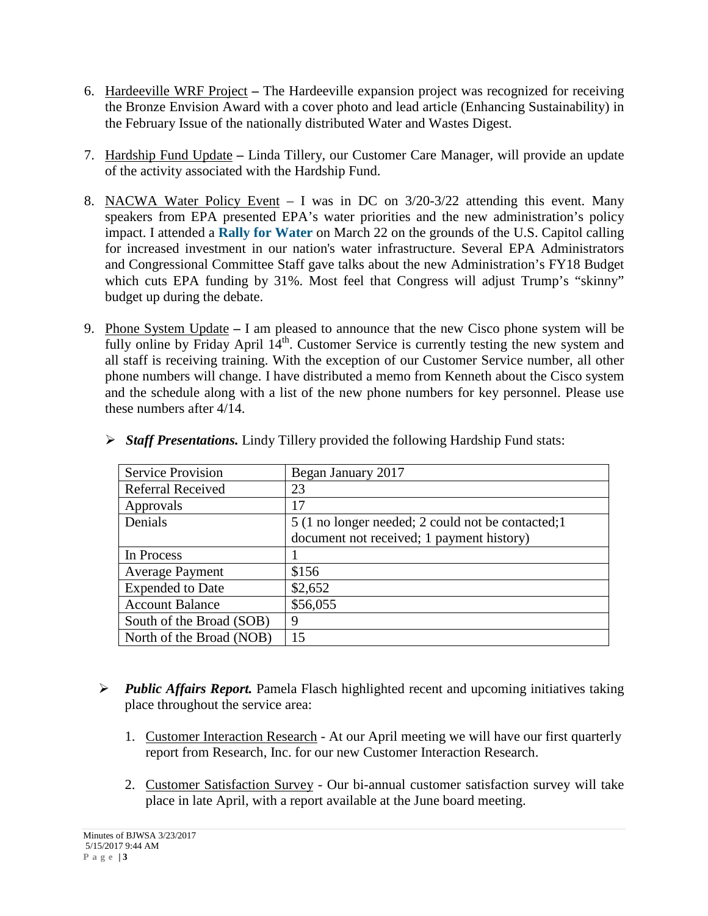- 6. Hardeeville WRF Project **–** The Hardeeville expansion project was recognized for receiving the Bronze Envision Award with a cover photo and lead article (Enhancing Sustainability) in the February Issue of the nationally distributed Water and Wastes Digest.
- 7. Hardship Fund Update **–** Linda Tillery, our Customer Care Manager, will provide an update of the activity associated with the Hardship Fund.
- 8. NACWA Water Policy Event I was in DC on 3/20-3/22 attending this event. Many speakers from EPA presented EPA's water priorities and the new administration's policy impact. I attended a **[Rally for Water](http://www.mmsend57.com/link.cfm?r=_sAchp28L81fHzrwSlpOAw~~&pe=2e7FnbCEBRoU02MNYz6BEo3lKPgsIomoBEPGTA_Ms8pdmlbhRR1Na2Ci2RHsUmQqgFu_T_dYS46YDIwdAkAVzQ~~)** on March 22 on the grounds of the U.S. Capitol calling for increased investment in our nation's water infrastructure. Several EPA Administrators and Congressional Committee Staff gave talks about the new Administration's FY18 Budget which cuts EPA funding by 31%. Most feel that Congress will adjust Trump's "skinny" budget up during the debate.
- 9. Phone System Update **–** I am pleased to announce that the new Cisco phone system will be fully online by Friday April  $14<sup>th</sup>$ . Customer Service is currently testing the new system and all staff is receiving training. With the exception of our Customer Service number, all other phone numbers will change. I have distributed a memo from Kenneth about the Cisco system and the schedule along with a list of the new phone numbers for key personnel. Please use these numbers after 4/14.

| <b>Service Provision</b> | Began January 2017                                 |
|--------------------------|----------------------------------------------------|
| Referral Received        | 23                                                 |
| Approvals                | 17                                                 |
| Denials                  | 5 (1 no longer needed; 2 could not be contacted; 1 |
|                          | document not received; 1 payment history)          |
| In Process               |                                                    |
| <b>Average Payment</b>   | \$156                                              |
| <b>Expended</b> to Date  | \$2,652                                            |
| <b>Account Balance</b>   | \$56,055                                           |
| South of the Broad (SOB) | 9                                                  |
| North of the Broad (NOB) | 15                                                 |

*Staff Presentations.* Lindy Tillery provided the following Hardship Fund stats:

- *Public Affairs Report.* Pamela Flasch highlighted recent and upcoming initiatives taking place throughout the service area:
	- 1. Customer Interaction Research At our April meeting we will have our first quarterly report from Research, Inc. for our new Customer Interaction Research.
	- 2. Customer Satisfaction Survey Our bi-annual customer satisfaction survey will take place in late April, with a report available at the June board meeting.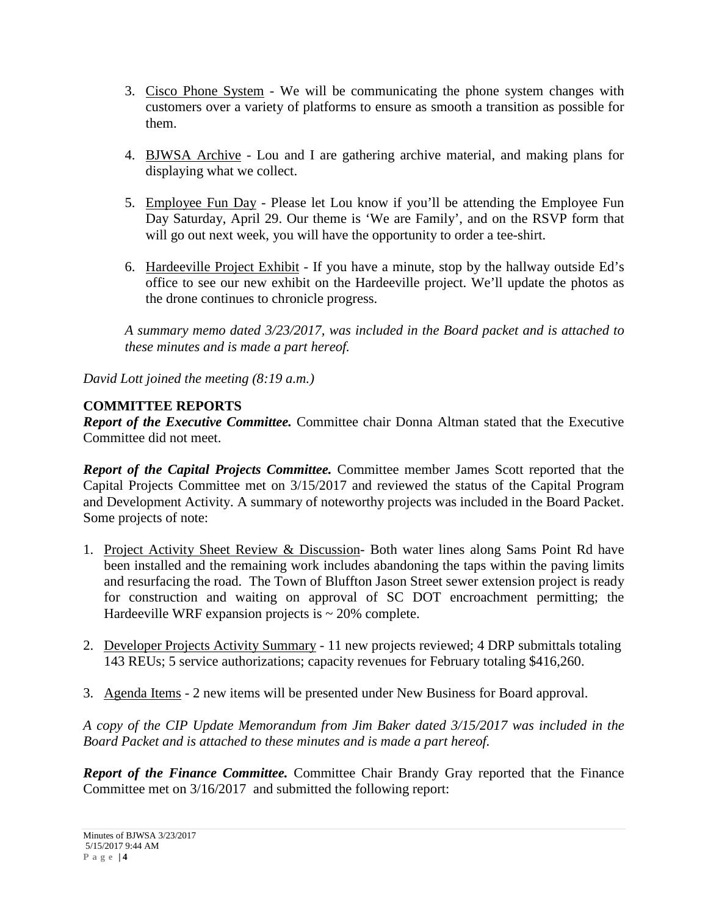- 3. Cisco Phone System We will be communicating the phone system changes with customers over a variety of platforms to ensure as smooth a transition as possible for them.
- 4. BJWSA Archive Lou and I are gathering archive material, and making plans for displaying what we collect.
- 5. Employee Fun Day Please let Lou know if you'll be attending the Employee Fun Day Saturday, April 29. Our theme is 'We are Family', and on the RSVP form that will go out next week, you will have the opportunity to order a tee-shirt.
- 6. Hardeeville Project Exhibit If you have a minute, stop by the hallway outside Ed's office to see our new exhibit on the Hardeeville project. We'll update the photos as the drone continues to chronicle progress.

*A summary memo dated 3/23/2017, was included in the Board packet and is attached to these minutes and is made a part hereof.*

*David Lott joined the meeting (8:19 a.m.)*

# **COMMITTEE REPORTS**

*Report of the Executive Committee.* Committee chair Donna Altman stated that the Executive Committee did not meet.

*Report of the Capital Projects Committee.* Committee member James Scott reported that the Capital Projects Committee met on 3/15/2017 and reviewed the status of the Capital Program and Development Activity. A summary of noteworthy projects was included in the Board Packet. Some projects of note:

- 1. Project Activity Sheet Review & Discussion- Both water lines along Sams Point Rd have been installed and the remaining work includes abandoning the taps within the paving limits and resurfacing the road. The Town of Bluffton Jason Street sewer extension project is ready for construction and waiting on approval of SC DOT encroachment permitting; the Hardeeville WRF expansion projects is  $\sim$  20% complete.
- 2. Developer Projects Activity Summary 11 new projects reviewed; 4 DRP submittals totaling 143 REUs; 5 service authorizations; capacity revenues for February totaling \$416,260.
- 3. Agenda Items *-* 2 new items will be presented under New Business for Board approval.

*A copy of the CIP Update Memorandum from Jim Baker dated 3/15/2017 was included in the Board Packet and is attached to these minutes and is made a part hereof.*

*Report of the Finance Committee.* Committee Chair Brandy Gray reported that the Finance Committee met on 3/16/2017 and submitted the following report: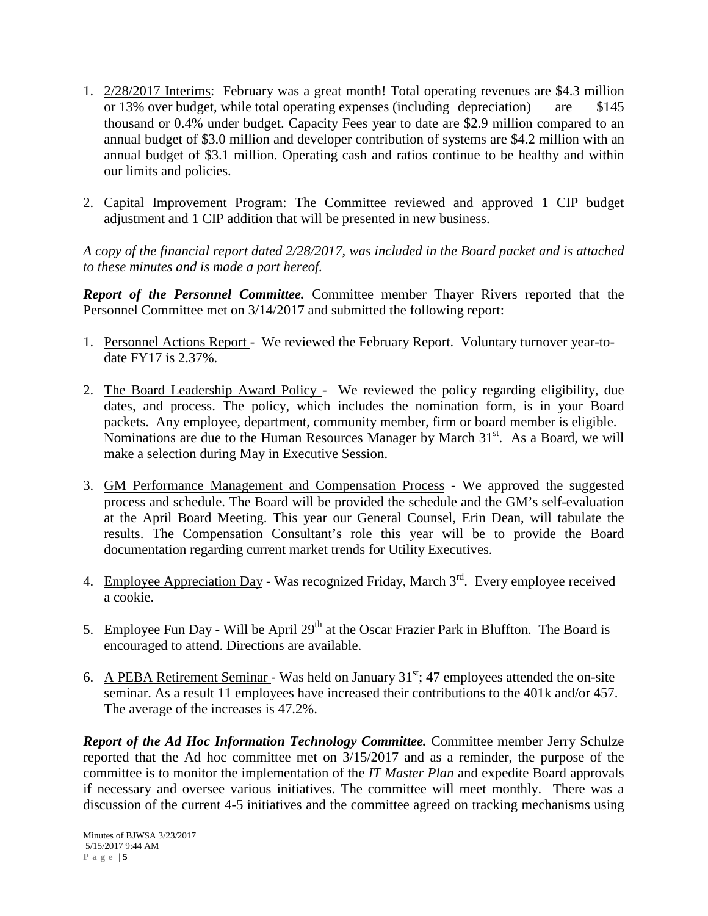- 1. 2/28/2017 Interims: February was a great month! Total operating revenues are \$4.3 million or 13% over budget, while total operating expenses (including depreciation) are \$145 thousand or 0.4% under budget. Capacity Fees year to date are \$2.9 million compared to an annual budget of \$3.0 million and developer contribution of systems are \$4.2 million with an annual budget of \$3.1 million. Operating cash and ratios continue to be healthy and within our limits and policies.
- 2. Capital Improvement Program: The Committee reviewed and approved 1 CIP budget adjustment and 1 CIP addition that will be presented in new business.

*A copy of the financial report dated 2/28/2017, was included in the Board packet and is attached to these minutes and is made a part hereof.*

*Report of the Personnel Committee.* Committee member Thayer Rivers reported that the Personnel Committee met on 3/14/2017 and submitted the following report:

- 1. Personnel Actions Report We reviewed the February Report. Voluntary turnover year-todate FY17 is 2.37%.
- 2. The Board Leadership Award Policy We reviewed the policy regarding eligibility, due dates, and process. The policy, which includes the nomination form, is in your Board packets. Any employee, department, community member, firm or board member is eligible. Nominations are due to the Human Resources Manager by March 31<sup>st</sup>. As a Board, we will make a selection during May in Executive Session.
- 3. GM Performance Management and Compensation Process We approved the suggested process and schedule. The Board will be provided the schedule and the GM's self-evaluation at the April Board Meeting. This year our General Counsel, Erin Dean, will tabulate the results. The Compensation Consultant's role this year will be to provide the Board documentation regarding current market trends for Utility Executives.
- 4. Employee Appreciation Day Was recognized Friday, March 3<sup>rd</sup>. Every employee received a cookie.
- 5. Employee Fun Day Will be April 29<sup>th</sup> at the Oscar Frazier Park in Bluffton. The Board is encouraged to attend. Directions are available.
- 6. A PEBA Retirement Seminar Was held on January  $31<sup>st</sup>$ ; 47 employees attended the on-site seminar. As a result 11 employees have increased their contributions to the 401k and/or 457. The average of the increases is 47.2%.

*Report of the Ad Hoc Information Technology Committee.* Committee member Jerry Schulze reported that the Ad hoc committee met on 3/15/2017 and as a reminder, the purpose of the committee is to monitor the implementation of the *IT Master Plan* and expedite Board approvals if necessary and oversee various initiatives. The committee will meet monthly. There was a discussion of the current 4-5 initiatives and the committee agreed on tracking mechanisms using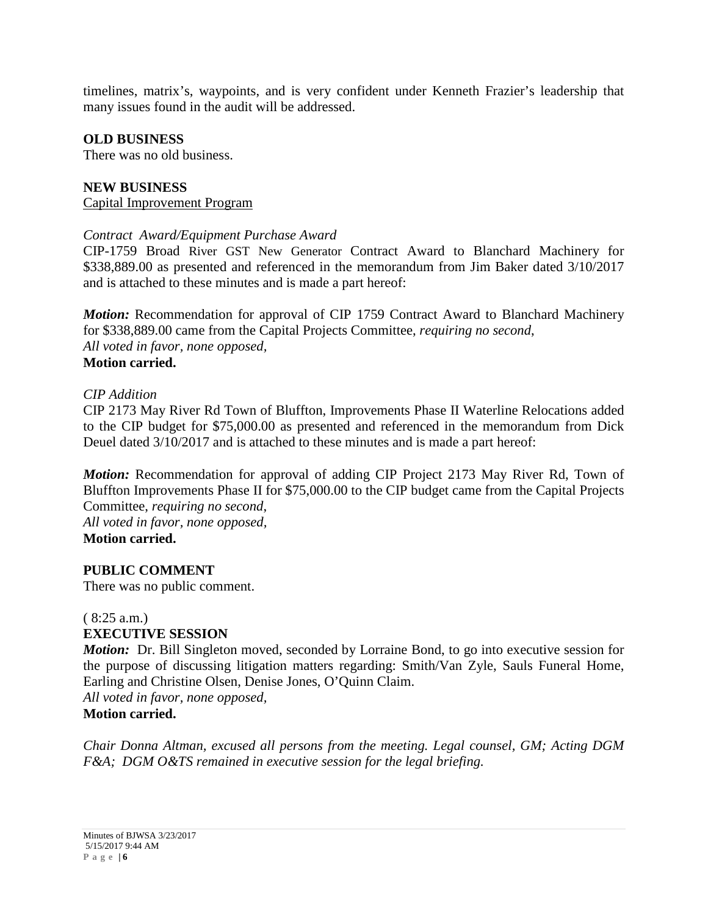timelines, matrix's, waypoints, and is very confident under Kenneth Frazier's leadership that many issues found in the audit will be addressed.

#### **OLD BUSINESS**

There was no old business.

#### **NEW BUSINESS** Capital Improvement Program

# *Contract Award/Equipment Purchase Award*

CIP-1759 Broad River GST New Generator Contract Award to Blanchard Machinery for \$338,889.00 as presented and referenced in the memorandum from Jim Baker dated 3/10/2017 and is attached to these minutes and is made a part hereof:

*Motion:* Recommendation for approval of CIP 1759 Contract Award to Blanchard Machinery for \$338,889.00 came from the Capital Projects Committee, *requiring no second*, *All voted in favor, none opposed,* **Motion carried.**

#### *CIP Addition*

CIP 2173 May River Rd Town of Bluffton, Improvements Phase II Waterline Relocations added to the CIP budget for \$75,000.00 as presented and referenced in the memorandum from Dick Deuel dated 3/10/2017 and is attached to these minutes and is made a part hereof:

*Motion:* Recommendation for approval of adding CIP Project 2173 May River Rd, Town of Bluffton Improvements Phase II for \$75,000.00 to the CIP budget came from the Capital Projects Committee, *requiring no second*, *All voted in favor, none opposed,*

**Motion carried.**

**PUBLIC COMMENT**

There was no public comment.

#### ( 8:25 a.m.) **EXECUTIVE SESSION**

*Motion:* Dr. Bill Singleton moved, seconded by Lorraine Bond, to go into executive session for the purpose of discussing litigation matters regarding: Smith/Van Zyle, Sauls Funeral Home, Earling and Christine Olsen, Denise Jones, O'Quinn Claim.

*All voted in favor, none opposed,* **Motion carried.**

*Chair Donna Altman, excused all persons from the meeting. Legal counsel, GM; Acting DGM F&A; DGM O&TS remained in executive session for the legal briefing.*